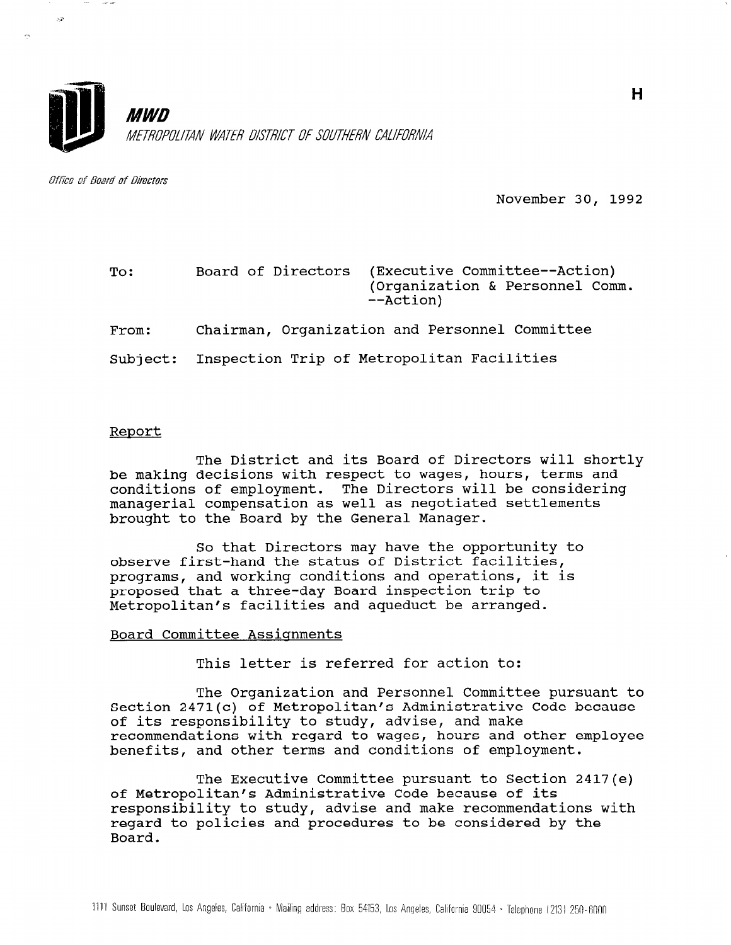

Office of Board of Directors

 $\bar{\Delta}^2$ 

November 30, 1992

| To:   | Board of Directors<br>--Action)                     | (Executive Committee--Action)<br>(Organization & Personnel Comm. |
|-------|-----------------------------------------------------|------------------------------------------------------------------|
| From: | Chairman, Organization and Personnel Committee      |                                                                  |
|       | Subject: Inspection Trip of Metropolitan Facilities |                                                                  |

## Report

The District and its Board of Directors will shortly be making decisions with respect to wages, hours, terms and conditions of employment. The Directors will be considering managerial compensation as well as negotiated settlements brought to the Board by the General Manager.

So that Directors may have the opportunity to observe first-hand the status of District facilities, programs, and working conditions and operations, it is proposed that a three-day Board inspection trip to Metropolitan's facilities and aqueduct be arranged.

## Board Committee Assiqnments

This letter is referred for action to:

The Organization and Personnel Committee pursuant to Section 2471(c) of Metropolitan's Administrative Code because of its responsibility to study, advise, and make of its responsibility to study, advise, and make<br>recommendations with regard to wages, hours and other employee benefits, and other terms and conditions of employment.

The Executive Committee pursuant to Section 2417(e) of Metropolitan's Administrative Code because of its responsibility to study, advise and make recommendations with responsibility to study, advise and make recommendations regard to policies and procedures to be considered by the Board.